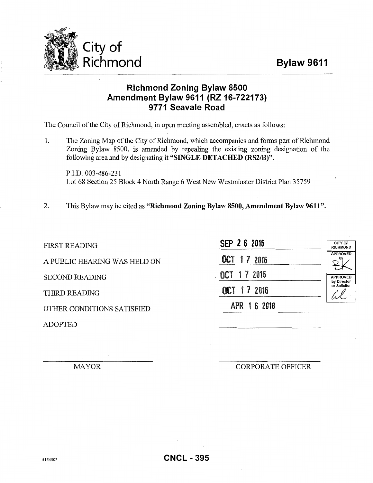## Bylaw 9611



## Richmond Zoning Bylaw 8500 Amendment Bylaw 9611 (RZ 16-722173) 9771 Seavale Road

The Council of the City of Richmond, in open meeting assembled, enacts as follows:

1. The Zoning Map of the City of Richmond, which accompanies and forms part of Richmond Zoning Bylaw 8500, is amended by repealing the existing zoning designation of the following area and by designating it "SINGLE DETACHED (RS2/B)".

P.I.D. 003-486-231 Lot 68 Section 25 Block 4 North Range 6 West New Westminster District Plan 35759

2. This Bylaw may be cited as "Richmond Zoning Bylaw 8500, Amendment Bylaw 9611".

FIRST READING

A PUBLIC HEARING WAS HELD ON

SECOND READING

THIRD READING

OTHER CONDITIONS SATISFIED

ADOPTED

| SEP 2 6 2016                  | <b>CITY OF</b><br><b>RICHMOND</b> |
|-------------------------------|-----------------------------------|
| OCT 17 2016                   | <b>APPROVED</b>                   |
| $\overline{a}$<br>OCT 17 2016 | <b>APPROVED</b><br>by Director    |
| OCT 17 2016                   | or Solicitor                      |
| APR 16 2018                   |                                   |

MAYOR

CORPORATE OFFICER